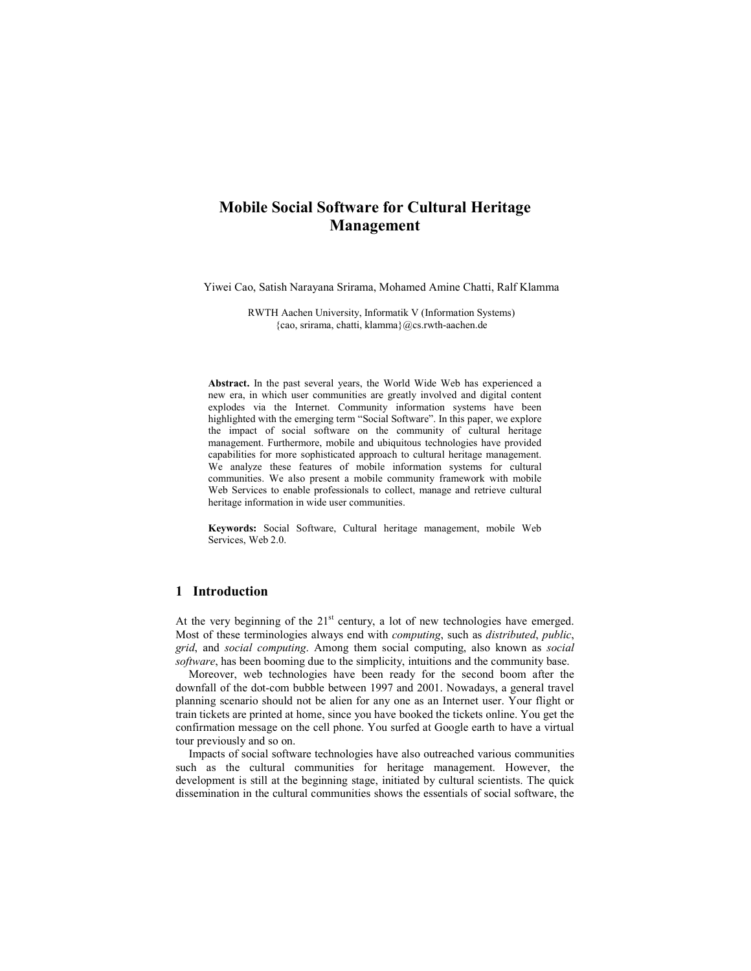# **Mobile Social Software for Cultural Heritage Management**

Yiwei Cao, Satish Narayana Srirama, Mohamed Amine Chatti, Ralf Klamma

RWTH Aachen University, Informatik V (Information Systems) {cao, srirama, chatti, klamma}@cs.rwth-aachen.de

**Abstract.** In the past several years, the World Wide Web has experienced a new era, in which user communities are greatly involved and digital content explodes via the Internet. Community information systems have been highlighted with the emerging term "Social Software". In this paper, we explore the impact of social software on the community of cultural heritage management. Furthermore, mobile and ubiquitous technologies have provided capabilities for more sophisticated approach to cultural heritage management. We analyze these features of mobile information systems for cultural communities. We also present a mobile community framework with mobile Web Services to enable professionals to collect, manage and retrieve cultural heritage information in wide user communities.

**Keywords:** Social Software, Cultural heritage management, mobile Web Services, Web 2.0.

## **1 Introduction**

At the very beginning of the  $21<sup>st</sup>$  century, a lot of new technologies have emerged. Most of these terminologies always end with *computing*, such as *distributed*, *public*, *grid*, and *social computing*. Among them social computing, also known as *social software*, has been booming due to the simplicity, intuitions and the community base.

Moreover, web technologies have been ready for the second boom after the downfall of the dot-com bubble between 1997 and 2001. Nowadays, a general travel planning scenario should not be alien for any one as an Internet user. Your flight or train tickets are printed at home, since you have booked the tickets online. You get the confirmation message on the cell phone. You surfed at Google earth to have a virtual tour previously and so on.

Impacts of social software technologies have also outreached various communities such as the cultural communities for heritage management. However, the development is still at the beginning stage, initiated by cultural scientists. The quick dissemination in the cultural communities shows the essentials of social software, the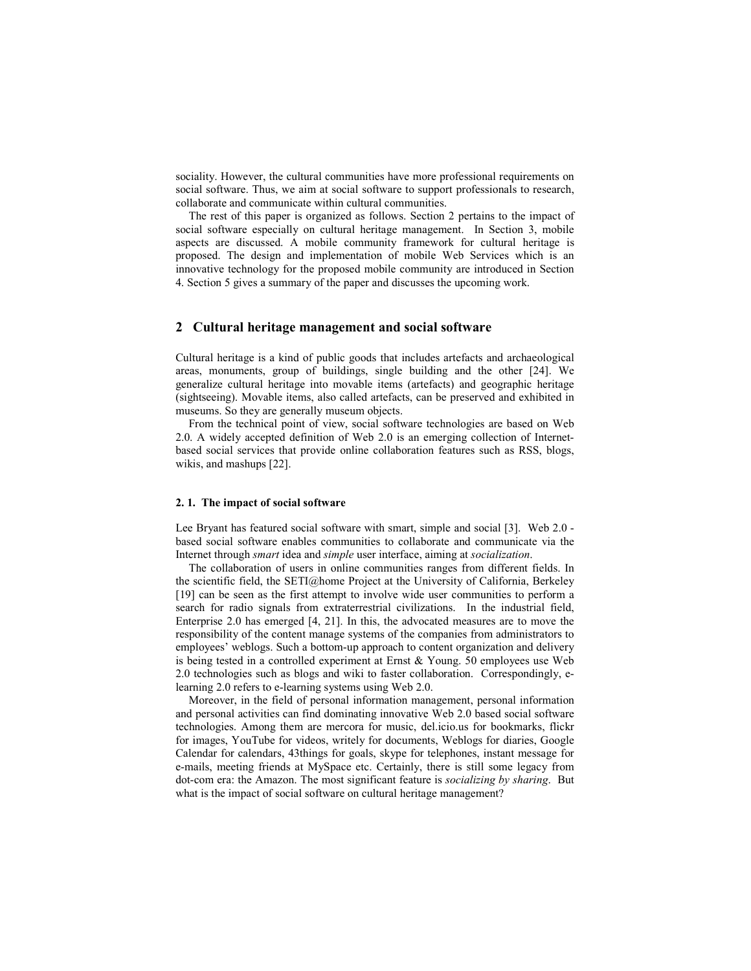sociality. However, the cultural communities have more professional requirements on social software. Thus, we aim at social software to support professionals to research, collaborate and communicate within cultural communities.

The rest of this paper is organized as follows. Section 2 pertains to the impact of social software especially on cultural heritage management. In Section 3, mobile aspects are discussed. A mobile community framework for cultural heritage is proposed. The design and implementation of mobile Web Services which is an innovative technology for the proposed mobile community are introduced in Section 4. Section 5 gives a summary of the paper and discusses the upcoming work.

# **2 Cultural heritage management and social software**

Cultural heritage is a kind of public goods that includes artefacts and archaeological areas, monuments, group of buildings, single building and the other [24]. We generalize cultural heritage into movable items (artefacts) and geographic heritage (sightseeing). Movable items, also called artefacts, can be preserved and exhibited in museums. So they are generally museum objects.

From the technical point of view, social software technologies are based on Web 2.0. A widely accepted definition of Web 2.0 is an emerging collection of Internetbased social services that provide online collaboration features such as RSS, blogs, wikis, and mashups [22].

#### **2. 1. The impact of social software**

Lee Bryant has featured social software with smart, simple and social [3]. Web 2.0 based social software enables communities to collaborate and communicate via the Internet through *smart* idea and *simple* user interface, aiming at *socialization*.

The collaboration of users in online communities ranges from different fields. In the scientific field, the SETI@home Project at the University of California, Berkeley [19] can be seen as the first attempt to involve wide user communities to perform a search for radio signals from extraterrestrial civilizations. In the industrial field, Enterprise 2.0 has emerged [4, 21]. In this, the advocated measures are to move the responsibility of the content manage systems of the companies from administrators to employees' weblogs. Such a bottom-up approach to content organization and delivery is being tested in a controlled experiment at Ernst & Young. 50 employees use Web 2.0 technologies such as blogs and wiki to faster collaboration. Correspondingly, elearning 2.0 refers to e-learning systems using Web 2.0.

Moreover, in the field of personal information management, personal information and personal activities can find dominating innovative Web 2.0 based social software technologies. Among them are mercora for music, del.icio.us for bookmarks, flickr for images, YouTube for videos, writely for documents, Weblogs for diaries, Google Calendar for calendars, 43things for goals, skype for telephones, instant message for e-mails, meeting friends at MySpace etc. Certainly, there is still some legacy from dot-com era: the Amazon. The most significant feature is *socializing by sharing*. But what is the impact of social software on cultural heritage management?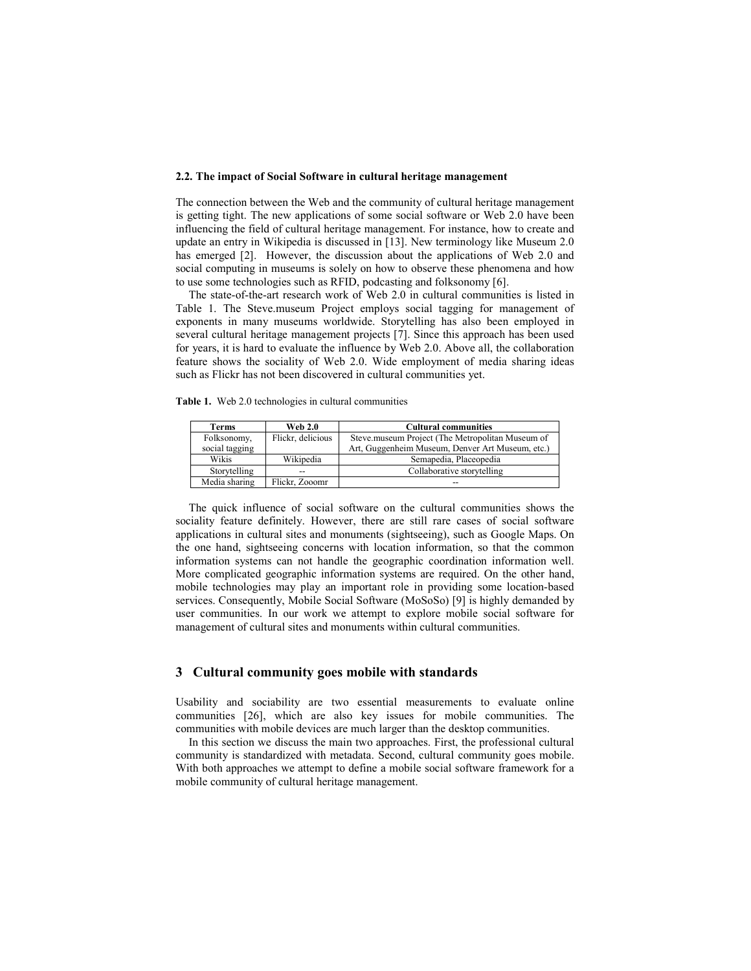## **2.2. The impact of Social Software in cultural heritage management**

The connection between the Web and the community of cultural heritage management is getting tight. The new applications of some social software or Web 2.0 have been influencing the field of cultural heritage management. For instance, how to create and update an entry in Wikipedia is discussed in [13]. New terminology like Museum 2.0 has emerged [2]. However, the discussion about the applications of Web 2.0 and social computing in museums is solely on how to observe these phenomena and how to use some technologies such as RFID, podcasting and folksonomy [6].

The state-of-the-art research work of Web 2.0 in cultural communities is listed in Table 1. The Steve.museum Project employs social tagging for management of exponents in many museums worldwide. Storytelling has also been employed in several cultural heritage management projects [7]. Since this approach has been used for years, it is hard to evaluate the influence by Web 2.0. Above all, the collaboration feature shows the sociality of Web 2.0. Wide employment of media sharing ideas such as Flickr has not been discovered in cultural communities yet.

**Table 1.** Web 2.0 technologies in cultural communities

| Terms          | <b>Web 2.0</b>    | <b>Cultural communities</b>                      |
|----------------|-------------------|--------------------------------------------------|
| Folksonomy,    | Flickr, delicious | Steve.museum Project (The Metropolitan Museum of |
| social tagging |                   | Art, Guggenheim Museum, Denver Art Museum, etc.) |
| Wikis          | Wikipedia         | Semapedia, Placeopedia                           |
| Storytelling   | $-$               | Collaborative storytelling                       |
| Media sharing  | Flickr, Zooomr    | --                                               |

The quick influence of social software on the cultural communities shows the sociality feature definitely. However, there are still rare cases of social software applications in cultural sites and monuments (sightseeing), such as Google Maps. On the one hand, sightseeing concerns with location information, so that the common information systems can not handle the geographic coordination information well. More complicated geographic information systems are required. On the other hand, mobile technologies may play an important role in providing some location-based services. Consequently, Mobile Social Software (MoSoSo) [9] is highly demanded by user communities. In our work we attempt to explore mobile social software for management of cultural sites and monuments within cultural communities.

## **3 Cultural community goes mobile with standards**

Usability and sociability are two essential measurements to evaluate online communities [26], which are also key issues for mobile communities. The communities with mobile devices are much larger than the desktop communities.

In this section we discuss the main two approaches. First, the professional cultural community is standardized with metadata. Second, cultural community goes mobile. With both approaches we attempt to define a mobile social software framework for a mobile community of cultural heritage management.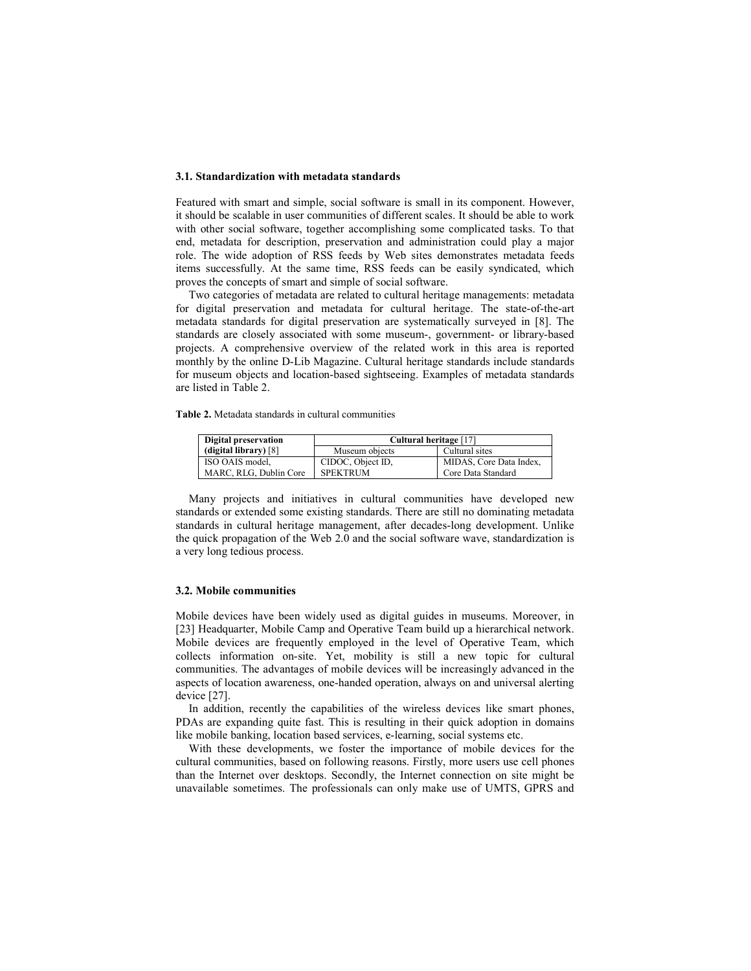### **3.1. Standardization with metadata standards**

Featured with smart and simple, social software is small in its component. However, it should be scalable in user communities of different scales. It should be able to work with other social software, together accomplishing some complicated tasks. To that end, metadata for description, preservation and administration could play a major role. The wide adoption of RSS feeds by Web sites demonstrates metadata feeds items successfully. At the same time, RSS feeds can be easily syndicated, which proves the concepts of smart and simple of social software.

Two categories of metadata are related to cultural heritage managements: metadata for digital preservation and metadata for cultural heritage. The state-of-the-art metadata standards for digital preservation are systematically surveyed in [8]. The standards are closely associated with some museum-, government- or library-based projects. A comprehensive overview of the related work in this area is reported monthly by the online D-Lib Magazine. Cultural heritage standards include standards for museum objects and location-based sightseeing. Examples of metadata standards are listed in Table 2.

**Table 2.** Metadata standards in cultural communities

| Digital preservation   | Cultural heritage [17] |                         |  |
|------------------------|------------------------|-------------------------|--|
| (digital library) [8]  | Museum objects         | Cultural sites          |  |
| ISO OAIS model,        | CIDOC, Object ID,      | MIDAS, Core Data Index, |  |
| MARC, RLG, Dublin Core | <b>SPEKTRUM</b>        | Core Data Standard      |  |

Many projects and initiatives in cultural communities have developed new standards or extended some existing standards. There are still no dominating metadata standards in cultural heritage management, after decades-long development. Unlike the quick propagation of the Web 2.0 and the social software wave, standardization is a very long tedious process.

### **3.2. Mobile communities**

Mobile devices have been widely used as digital guides in museums. Moreover, in [23] Headquarter, Mobile Camp and Operative Team build up a hierarchical network. Mobile devices are frequently employed in the level of Operative Team, which collects information on-site. Yet, mobility is still a new topic for cultural communities. The advantages of mobile devices will be increasingly advanced in the aspects of location awareness, one-handed operation, always on and universal alerting device [27].

In addition, recently the capabilities of the wireless devices like smart phones, PDAs are expanding quite fast. This is resulting in their quick adoption in domains like mobile banking, location based services, e-learning, social systems etc.

With these developments, we foster the importance of mobile devices for the cultural communities, based on following reasons. Firstly, more users use cell phones than the Internet over desktops. Secondly, the Internet connection on site might be unavailable sometimes. The professionals can only make use of UMTS, GPRS and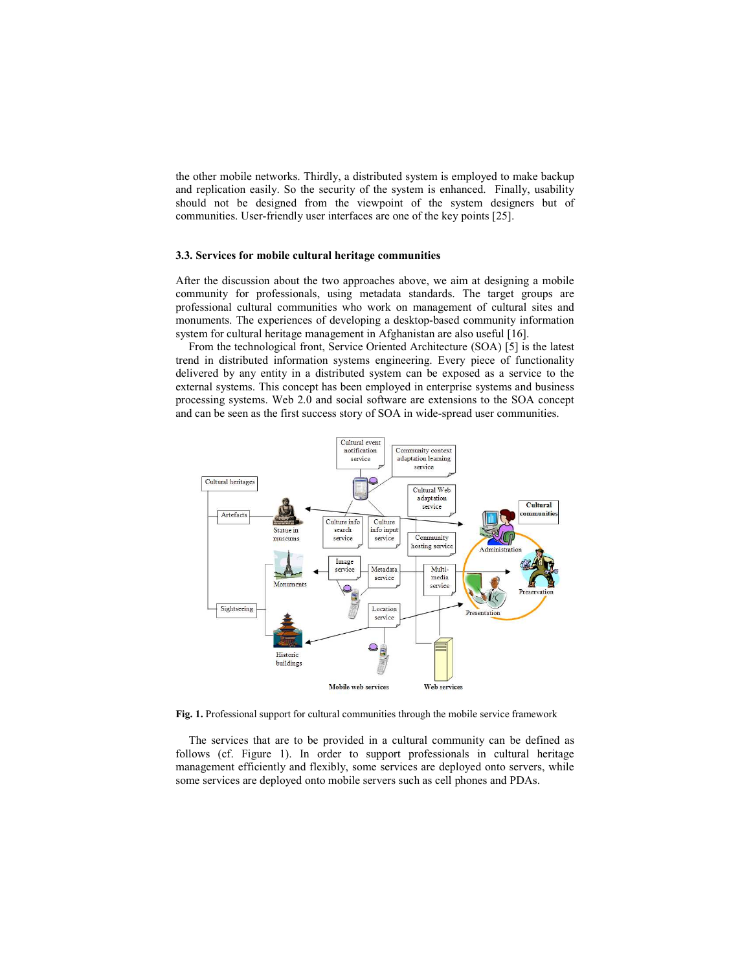the other mobile networks. Thirdly, a distributed system is employed to make backup and replication easily. So the security of the system is enhanced. Finally, usability should not be designed from the viewpoint of the system designers but of communities. User-friendly user interfaces are one of the key points [25].

#### **3.3. Services for mobile cultural heritage communities**

After the discussion about the two approaches above, we aim at designing a mobile community for professionals, using metadata standards. The target groups are professional cultural communities who work on management of cultural sites and monuments. The experiences of developing a desktop-based community information system for cultural heritage management in Afghanistan are also useful [16].

From the technological front, Service Oriented Architecture (SOA) [5] is the latest trend in distributed information systems engineering. Every piece of functionality delivered by any entity in a distributed system can be exposed as a service to the external systems. This concept has been employed in enterprise systems and business processing systems. Web 2.0 and social software are extensions to the SOA concept and can be seen as the first success story of SOA in wide-spread user communities.



**Fig. 1.** Professional support for cultural communities through the mobile service framework

The services that are to be provided in a cultural community can be defined as follows (cf. Figure 1). In order to support professionals in cultural heritage management efficiently and flexibly, some services are deployed onto servers, while some services are deployed onto mobile servers such as cell phones and PDAs.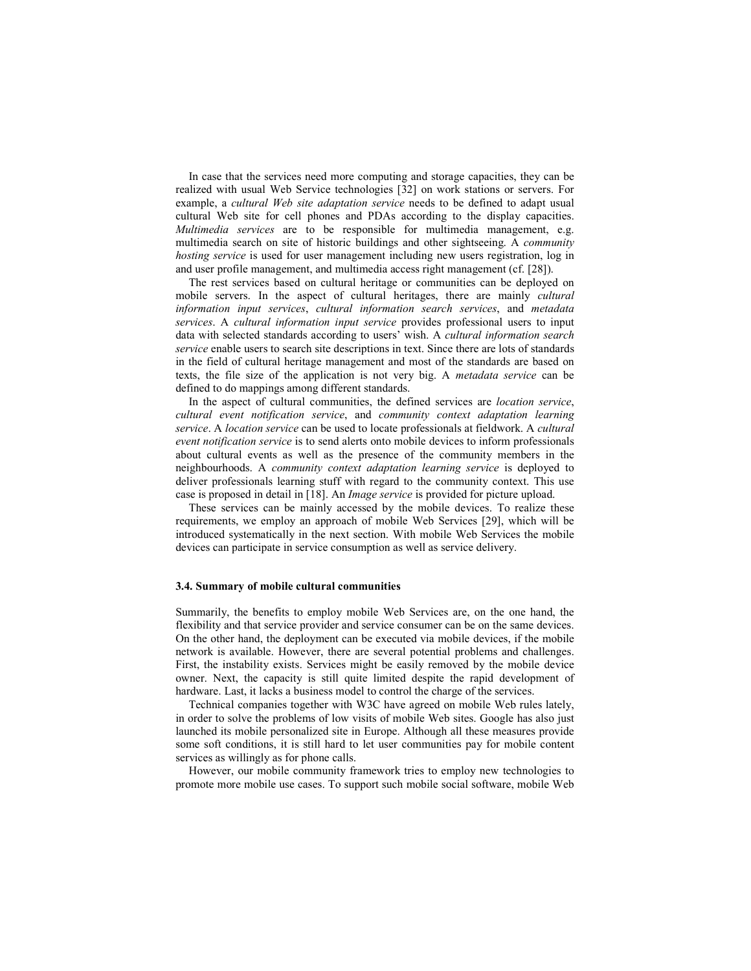In case that the services need more computing and storage capacities, they can be realized with usual Web Service technologies [32] on work stations or servers. For example, a *cultural Web site adaptation service* needs to be defined to adapt usual cultural Web site for cell phones and PDAs according to the display capacities. *Multimedia services* are to be responsible for multimedia management, e.g. multimedia search on site of historic buildings and other sightseeing. A *community hosting service* is used for user management including new users registration, log in and user profile management, and multimedia access right management (cf. [28]).

The rest services based on cultural heritage or communities can be deployed on mobile servers. In the aspect of cultural heritages, there are mainly *cultural information input services*, *cultural information search services*, and *metadata services*. A *cultural information input service* provides professional users to input data with selected standards according to users' wish. A *cultural information search service* enable users to search site descriptions in text. Since there are lots of standards in the field of cultural heritage management and most of the standards are based on texts, the file size of the application is not very big. A *metadata service* can be defined to do mappings among different standards.

In the aspect of cultural communities, the defined services are *location service*, *cultural event notification service*, and *community context adaptation learning service*. A *location service* can be used to locate professionals at fieldwork. A *cultural event notification service* is to send alerts onto mobile devices to inform professionals about cultural events as well as the presence of the community members in the neighbourhoods. A *community context adaptation learning service* is deployed to deliver professionals learning stuff with regard to the community context. This use case is proposed in detail in [18]. An *Image service* is provided for picture upload.

These services can be mainly accessed by the mobile devices. To realize these requirements, we employ an approach of mobile Web Services [29], which will be introduced systematically in the next section. With mobile Web Services the mobile devices can participate in service consumption as well as service delivery.

#### **3.4. Summary of mobile cultural communities**

Summarily, the benefits to employ mobile Web Services are, on the one hand, the flexibility and that service provider and service consumer can be on the same devices. On the other hand, the deployment can be executed via mobile devices, if the mobile network is available. However, there are several potential problems and challenges. First, the instability exists. Services might be easily removed by the mobile device owner. Next, the capacity is still quite limited despite the rapid development of hardware. Last, it lacks a business model to control the charge of the services.

Technical companies together with W3C have agreed on mobile Web rules lately, in order to solve the problems of low visits of mobile Web sites. Google has also just launched its mobile personalized site in Europe. Although all these measures provide some soft conditions, it is still hard to let user communities pay for mobile content services as willingly as for phone calls.

However, our mobile community framework tries to employ new technologies to promote more mobile use cases. To support such mobile social software, mobile Web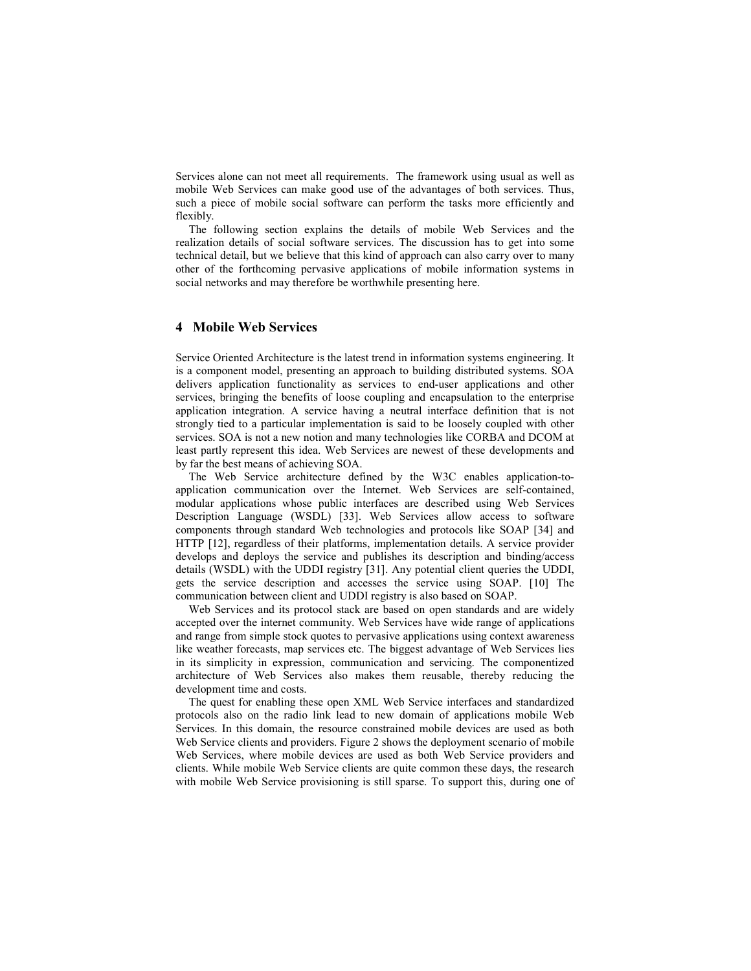Services alone can not meet all requirements. The framework using usual as well as mobile Web Services can make good use of the advantages of both services. Thus, such a piece of mobile social software can perform the tasks more efficiently and flexibly.

The following section explains the details of mobile Web Services and the realization details of social software services. The discussion has to get into some technical detail, but we believe that this kind of approach can also carry over to many other of the forthcoming pervasive applications of mobile information systems in social networks and may therefore be worthwhile presenting here.

# **4 Mobile Web Services**

Service Oriented Architecture is the latest trend in information systems engineering. It is a component model, presenting an approach to building distributed systems. SOA delivers application functionality as services to end-user applications and other services, bringing the benefits of loose coupling and encapsulation to the enterprise application integration. A service having a neutral interface definition that is not strongly tied to a particular implementation is said to be loosely coupled with other services. SOA is not a new notion and many technologies like CORBA and DCOM at least partly represent this idea. Web Services are newest of these developments and by far the best means of achieving SOA.

The Web Service architecture defined by the W3C enables application-toapplication communication over the Internet. Web Services are self-contained, modular applications whose public interfaces are described using Web Services Description Language (WSDL) [33]. Web Services allow access to software components through standard Web technologies and protocols like SOAP [34] and HTTP [12], regardless of their platforms, implementation details. A service provider develops and deploys the service and publishes its description and binding/access details (WSDL) with the UDDI registry [31]. Any potential client queries the UDDI, gets the service description and accesses the service using SOAP. [10] The communication between client and UDDI registry is also based on SOAP.

Web Services and its protocol stack are based on open standards and are widely accepted over the internet community. Web Services have wide range of applications and range from simple stock quotes to pervasive applications using context awareness like weather forecasts, map services etc. The biggest advantage of Web Services lies in its simplicity in expression, communication and servicing. The componentized architecture of Web Services also makes them reusable, thereby reducing the development time and costs.

The quest for enabling these open XML Web Service interfaces and standardized protocols also on the radio link lead to new domain of applications mobile Web Services. In this domain, the resource constrained mobile devices are used as both Web Service clients and providers. Figure 2 shows the deployment scenario of mobile Web Services, where mobile devices are used as both Web Service providers and clients. While mobile Web Service clients are quite common these days, the research with mobile Web Service provisioning is still sparse. To support this, during one of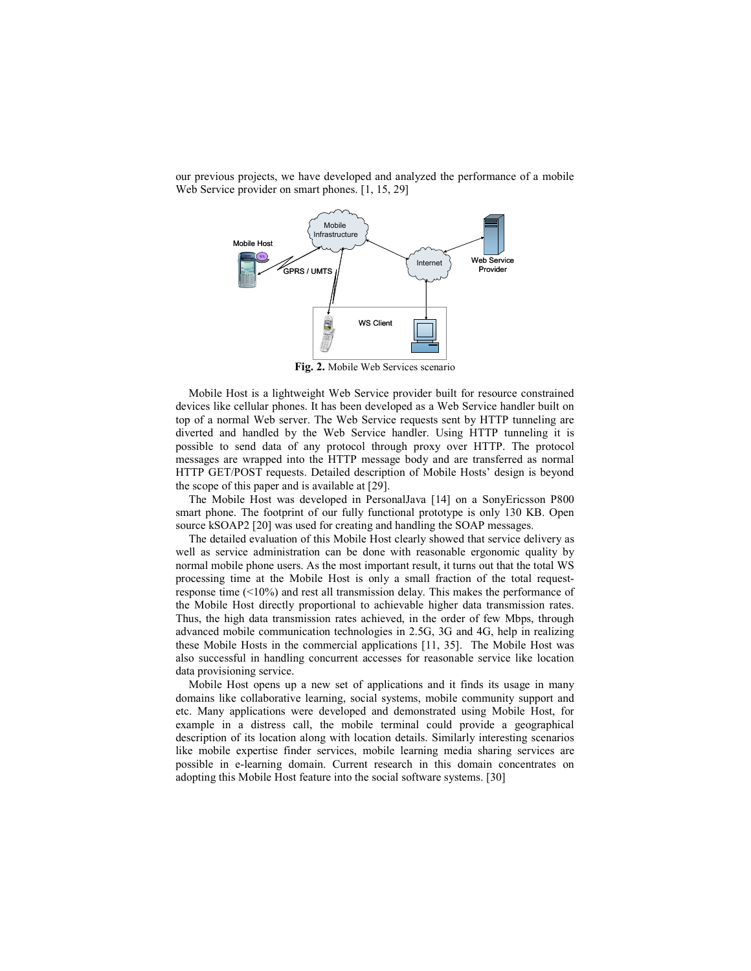our previous projects, we have developed and analyzed the performance of a mobile Web Service provider on smart phones. [1, 15, 29]



**Fig. 2.** Mobile Web Services scenario

Mobile Host is a lightweight Web Service provider built for resource constrained devices like cellular phones. It has been developed as a Web Service handler built on top of a normal Web server. The Web Service requests sent by HTTP tunneling are diverted and handled by the Web Service handler. Using HTTP tunneling it is possible to send data of any protocol through proxy over HTTP. The protocol messages are wrapped into the HTTP message body and are transferred as normal HTTP GET/POST requests. Detailed description of Mobile Hosts' design is beyond the scope of this paper and is available at [29].

The Mobile Host was developed in PersonalJava [14] on a SonyEricsson P800 smart phone. The footprint of our fully functional prototype is only 130 KB. Open source kSOAP2 [20] was used for creating and handling the SOAP messages.

The detailed evaluation of this Mobile Host clearly showed that service delivery as well as service administration can be done with reasonable ergonomic quality by normal mobile phone users. As the most important result, it turns out that the total WS processing time at the Mobile Host is only a small fraction of the total requestresponse time (<10%) and rest all transmission delay. This makes the performance of the Mobile Host directly proportional to achievable higher data transmission rates. Thus, the high data transmission rates achieved, in the order of few Mbps, through advanced mobile communication technologies in 2.5G, 3G and 4G, help in realizing these Mobile Hosts in the commercial applications [11, 35]. The Mobile Host was also successful in handling concurrent accesses for reasonable service like location data provisioning service.

Mobile Host opens up a new set of applications and it finds its usage in many domains like collaborative learning, social systems, mobile community support and etc. Many applications were developed and demonstrated using Mobile Host, for example in a distress call, the mobile terminal could provide a geographical description of its location along with location details. Similarly interesting scenarios like mobile expertise finder services, mobile learning media sharing services are possible in e-learning domain. Current research in this domain concentrates on adopting this Mobile Host feature into the social software systems. [30]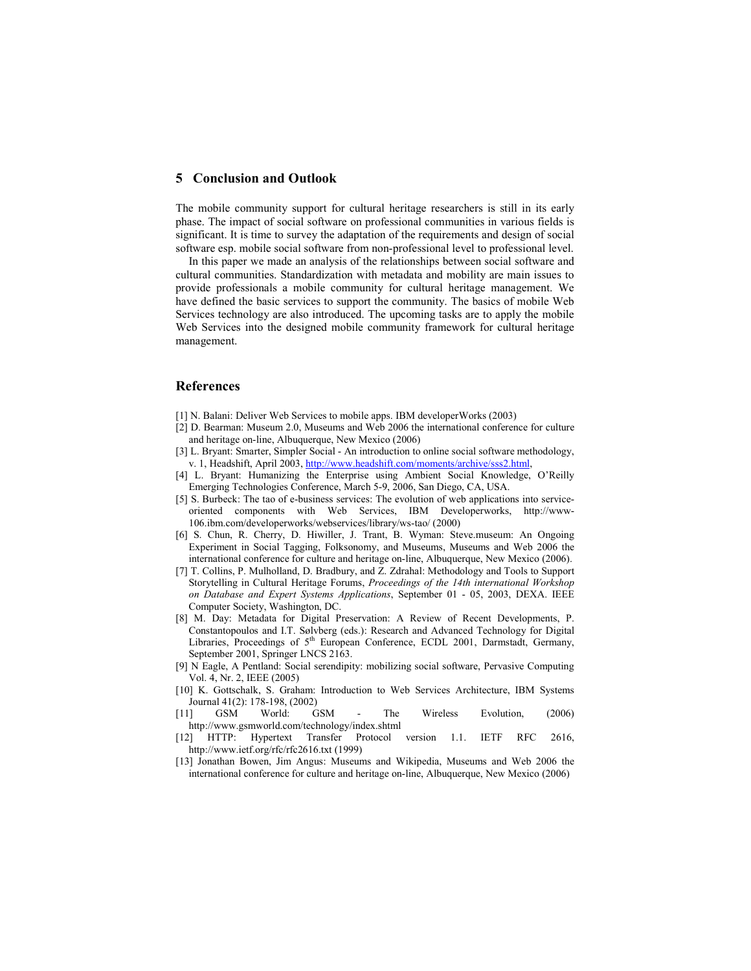## **5 Conclusion and Outlook**

The mobile community support for cultural heritage researchers is still in its early phase. The impact of social software on professional communities in various fields is significant. It is time to survey the adaptation of the requirements and design of social software esp. mobile social software from non-professional level to professional level.

In this paper we made an analysis of the relationships between social software and cultural communities. Standardization with metadata and mobility are main issues to provide professionals a mobile community for cultural heritage management. We have defined the basic services to support the community. The basics of mobile Web Services technology are also introduced. The upcoming tasks are to apply the mobile Web Services into the designed mobile community framework for cultural heritage management.

## **References**

- [1] N. Balani: Deliver Web Services to mobile apps. IBM developerWorks (2003)
- [2] D. Bearman: Museum 2.0, Museums and Web 2006 the international conference for culture and heritage on-line, Albuquerque, New Mexico (2006)
- [3] L. Bryant: Smarter, Simpler Social An introduction to online social software methodology, v. 1, Headshift, April 2003, http://www.headshift.com/moments/archive/sss2.html
- [4] L. Bryant: Humanizing the Enterprise using Ambient Social Knowledge, O'Reilly Emerging Technologies Conference, March 5-9, 2006, San Diego, CA, USA.
- [5] S. Burbeck: The tao of e-business services: The evolution of web applications into serviceoriented components with Web Services, IBM Developerworks, http://www-106.ibm.com/developerworks/webservices/library/ws-tao/ (2000)
- [6] S. Chun, R. Cherry, D. Hiwiller, J. Trant, B. Wyman: Steve.museum: An Ongoing Experiment in Social Tagging, Folksonomy, and Museums, Museums and Web 2006 the international conference for culture and heritage on-line, Albuquerque, New Mexico (2006).
- [7] T. Collins, P. Mulholland, D. Bradbury, and Z. Zdrahal: Methodology and Tools to Support Storytelling in Cultural Heritage Forums, *Proceedings of the 14th international Workshop on Database and Expert Systems Applications*, September 01 - 05, 2003, DEXA. IEEE Computer Society, Washington, DC.
- [8] M. Day: Metadata for Digital Preservation: A Review of Recent Developments, P. Constantopoulos and I.T. Sølvberg (eds.): Research and Advanced Technology for Digital Libraries, Proceedings of 5<sup>th</sup> European Conference, ECDL 2001, Darmstadt, Germany, September 2001, Springer LNCS 2163.
- [9] N Eagle, A Pentland: Social serendipity: mobilizing social software, Pervasive Computing Vol. 4, Nr. 2, IEEE (2005)
- [10] K. Gottschalk, S. Graham: Introduction to Web Services Architecture, IBM Systems Journal 41(2): 178-198, (2002)
- [11] GSM World: GSM The Wireless Evolution, (2006) http://www.gsmworld.com/technology/index.shtml
- [12] HTTP: Hypertext Transfer Protocol version 1.1. IETF RFC 2616, http://www.ietf.org/rfc/rfc2616.txt (1999)
- [13] Jonathan Bowen, Jim Angus: Museums and Wikipedia, Museums and Web 2006 the international conference for culture and heritage on-line, Albuquerque, New Mexico (2006)